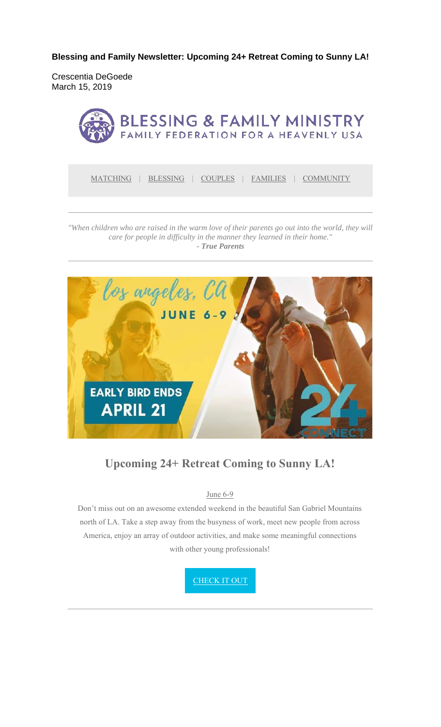**Blessing and Family Newsletter: Upcoming 24+ Retreat Coming to Sunny LA!** 

Crescentia DeGoede March 15, 2019



MATCHING | BLESSING | COUPLES | FAMILIES | COMMUNITY

*"When children who are raised in the warm love of their parents go out into the world, they will care for people in difficulty in the manner they learned in their home." - True Parents*



### **Upcoming 24+ Retreat Coming to Sunny LA!**

June 6-9

Don't miss out on an awesome extended weekend in the beautiful San Gabriel Mountains north of LA. Take a step away from the busyness of work, meet new people from across America, enjoy an array of outdoor activities, and make some meaningful connections with other young professionals!

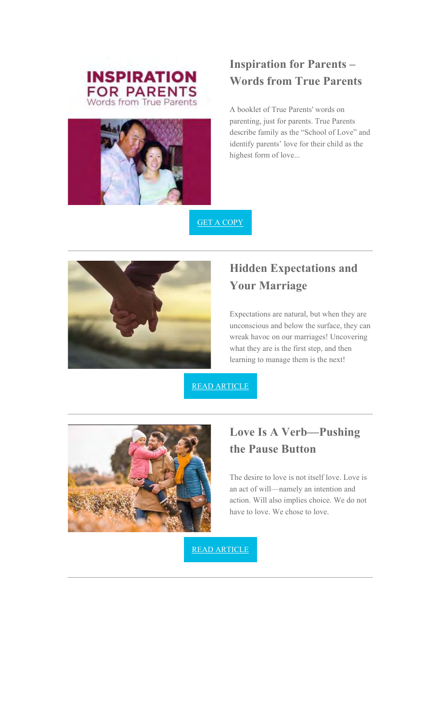



# **Inspiration for Parents – Words from True Parents**

A booklet of True Parents' words on parenting, just for parents. True Parents describe family as the "School of Love" and identify parents' love for their child as the highest form of love...

GET A COPY



# **Hidden Expectations and Your Marriage**

Expectations are natural, but when they are unconscious and below the surface, they can wreak havoc on our marriages! Uncovering what they are is the first step, and then learning to manage them is the next!

READ ARTICLE



## **Love Is A Verb—Pushing the Pause Button**

The desire to love is not itself love. Love is an act of will—namely an intention and action. Will also implies choice. We do not have to love. We chose to love.

READ ARTICLE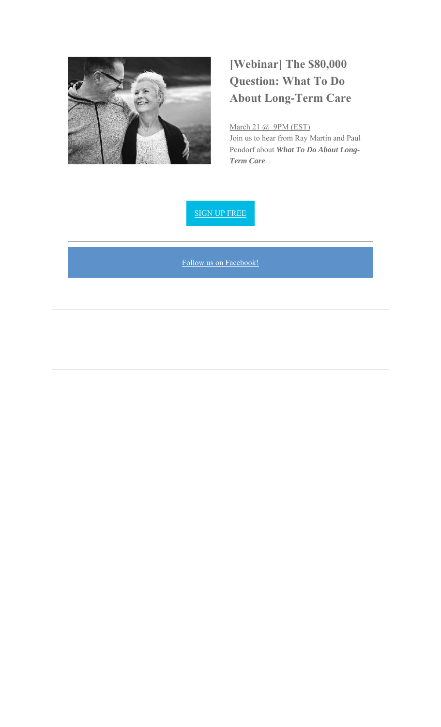

# **[Webinar] The \$80,000 Question: What To Do About Long-Term Care**

March 21 @ 9PM (EST) Join us to hear from Ray Martin and Paul Pendorf about *What To Do About Long-Term Care*...

SIGN UP FREE

Follow us on Facebook!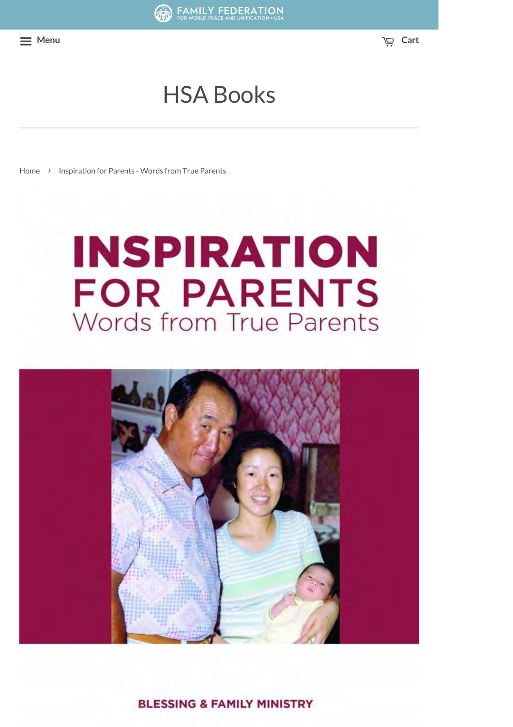**Menu Cart**

# HSA Books

Home > Inspiration for Parents - Words from True Parents

# **INSPIRATION FOR PARENTS** Words from True Parents



**BLESSING & FAMILY MINISTRY**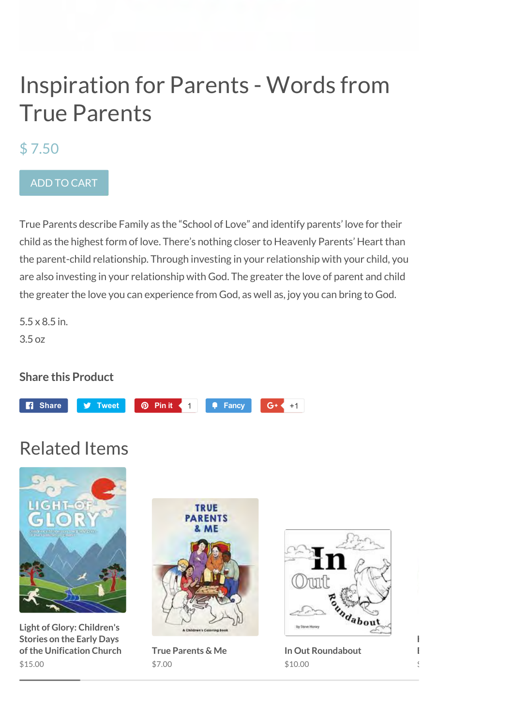# Inspiration for Parents - Words from True Parents

### \$ 7.50

### ADD TO CART

True Parents describe Family as the "School of Love" and identify parents' love for their child as the highest form of love. There's nothing closer to Heavenly Parents' Heart than the parent-child relationship. Through investing in your relationship with your child, you are also investing in your relationship with God. The greater the love of parent and child the greater the love you can experience from God, as well as, joy you can bring to God.

5.5 x 8.5 in. 3.5 oz

### **Share this Product**



# Related Items



**Light of Glory: Children's Stories on the Early Days of the Unification Church** \$15.00



**True Parents & Me** \$7.00



**In Out Roundabout** \$10.00